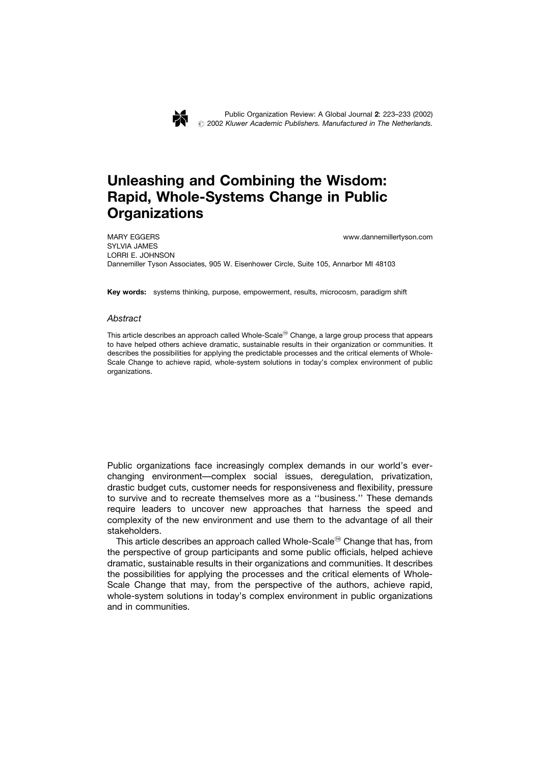

Public Organization Review: A Global Journal 2: 223–233 (2002)  $\circ$  2002 Kluwer Academic Publishers. Manufactured in The Netherlands.

# Unleashing and Combining the Wisdom: Rapid, Whole-Systems Change in Public **Organizations**

MARY EGGERS www.dannemillertyson.com SYLVIA JAMES LORRI E. JOHNSON Dannemiller Tyson Associates, 905 W. Eisenhower Circle, Suite 105, Annarbor MI 48103

Key words: systems thinking, purpose, empowerment, results, microcosm, paradigm shift

### **Abstract**

This article describes an approach called Whole-Scale<sup>®</sup> Change, a large group process that appears to have helped others achieve dramatic, sustainable results in their organization or communities. It describes the possibilities for applying the predictable processes and the critical elements of Whole-Scale Change to achieve rapid, whole-system solutions in today's complex environment of public organizations.

Public organizations face increasingly complex demands in our world's everchanging environment—complex social issues, deregulation, privatization, drastic budget cuts, customer needs for responsiveness and flexibility, pressure to survive and to recreate themselves more as a ''business.'' These demands require leaders to uncover new approaches that harness the speed and complexity of the new environment and use them to the advantage of all their stakeholders.

This article describes an approach called Whole-Scale<sup><sup>®</sup> Change that has, from</sup> the perspective of group participants and some public officials, helped achieve dramatic, sustainable results in their organizations and communities. It describes the possibilities for applying the processes and the critical elements of Whole-Scale Change that may, from the perspective of the authors, achieve rapid, whole-system solutions in today's complex environment in public organizations and in communities.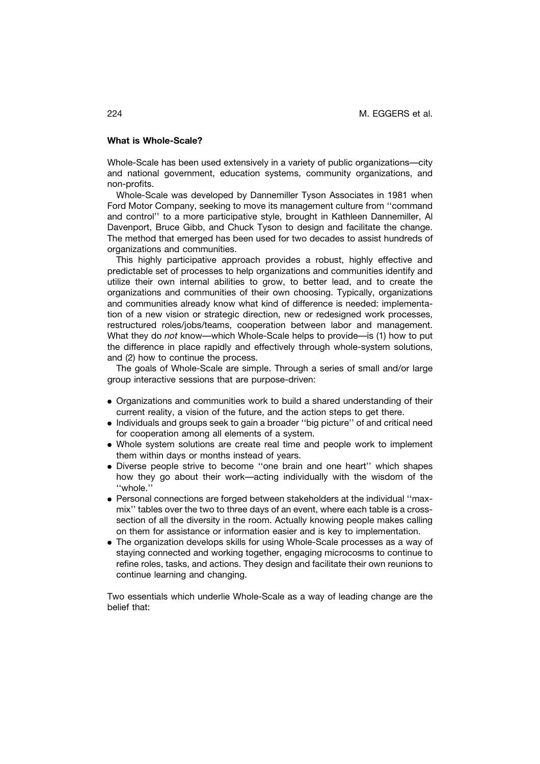# What is Whole-Scale?

Whole-Scale has been used extensively in a variety of public organizations—city and national government, education systems, community organizations, and non-profits.

Whole-Scale was developed by Dannemiller Tyson Associates in 1981 when Ford Motor Company, seeking to move its management culture from ''command and control'' to a more participative style, brought in Kathleen Dannemiller, Al Davenport, Bruce Gibb, and Chuck Tyson to design and facilitate the change. The method that emerged has been used for two decades to assist hundreds of organizations and communities.

This highly participative approach provides a robust, highly effective and predictable set of processes to help organizations and communities identify and utilize their own internal abilities to grow, to better lead, and to create the organizations and communities of their own choosing. Typically, organizations and communities already know what kind of difference is needed: implementation of a new vision or strategic direction, new or redesigned work processes, restructured roles/jobs/teams, cooperation between labor and management. What they do not know—which Whole-Scale helps to provide—is (1) how to put the difference in place rapidly and effectively through whole-system solutions, and (2) how to continue the process.

The goals of Whole-Scale are simple. Through a series of small and/or large group interactive sessions that are purpose-driven:

- . Organizations and communities work to build a shared understanding of their current reality, a vision of the future, and the action steps to get there.
- . Individuals and groups seek to gain a broader ''big picture'' of and critical need for cooperation among all elements of a system.
- . Whole system solutions are create real time and people work to implement them within days or months instead of years.
- . Diverse people strive to become ''one brain and one heart'' which shapes how they go about their work—acting individually with the wisdom of the ''whole.''
- . Personal connections are forged between stakeholders at the individual ''maxmix'' tables over the two to three days of an event, where each table is a crosssection of all the diversity in the room. Actually knowing people makes calling on them for assistance or information easier and is key to implementation.
- . The organization develops skills for using Whole-Scale processes as a way of staying connected and working together, engaging microcosms to continue to refine roles, tasks, and actions. They design and facilitate their own reunions to continue learning and changing.

Two essentials which underlie Whole-Scale as a way of leading change are the belief that: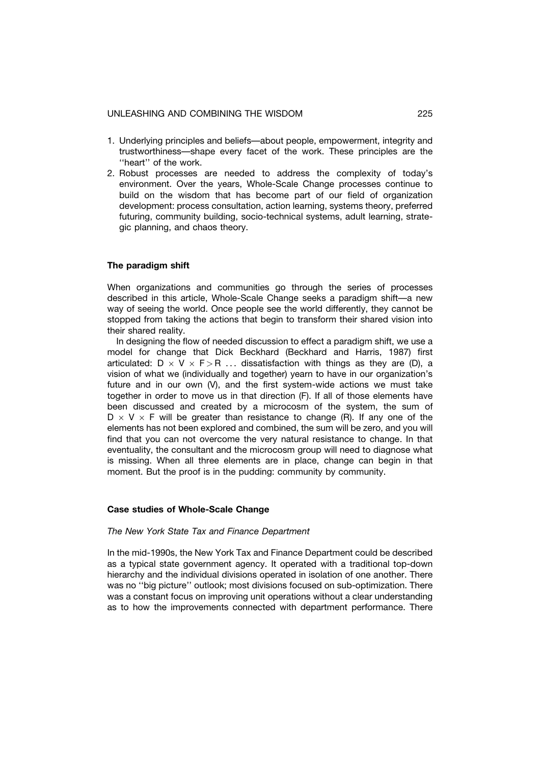- 1. Underlying principles and beliefs—about people, empowerment, integrity and trustworthiness—shape every facet of the work. These principles are the ''heart'' of the work.
- 2. Robust processes are needed to address the complexity of today's environment. Over the years, Whole-Scale Change processes continue to build on the wisdom that has become part of our field of organization development: process consultation, action learning, systems theory, preferred futuring, community building, socio-technical systems, adult learning, strategic planning, and chaos theory.

# The paradigm shift

When organizations and communities go through the series of processes described in this article, Whole-Scale Change seeks a paradigm shift—a new way of seeing the world. Once people see the world differently, they cannot be stopped from taking the actions that begin to transform their shared vision into their shared reality.

In designing the flow of needed discussion to effect a paradigm shift, we use a model for change that Dick Beckhard (Beckhard and Harris, 1987) first articulated:  $D \times V \times F > R$  ... dissatisfaction with things as they are (D), a vision of what we (individually and together) yearn to have in our organization's future and in our own (V), and the first system-wide actions we must take together in order to move us in that direction (F). If all of those elements have been discussed and created by a microcosm of the system, the sum of  $D \times V \times F$  will be greater than resistance to change (R). If any one of the elements has not been explored and combined, the sum will be zero, and you will find that you can not overcome the very natural resistance to change. In that eventuality, the consultant and the microcosm group will need to diagnose what is missing. When all three elements are in place, change can begin in that moment. But the proof is in the pudding: community by community.

# Case studies of Whole-Scale Change

### The New York State Tax and Finance Department

In the mid-1990s, the New York Tax and Finance Department could be described as a typical state government agency. It operated with a traditional top-down hierarchy and the individual divisions operated in isolation of one another. There was no ''big picture'' outlook; most divisions focused on sub-optimization. There was a constant focus on improving unit operations without a clear understanding as to how the improvements connected with department performance. There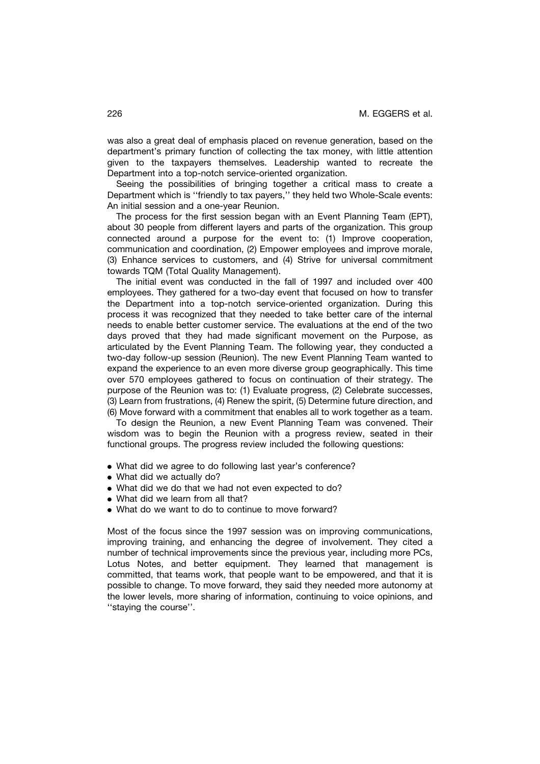was also a great deal of emphasis placed on revenue generation, based on the department's primary function of collecting the tax money, with little attention given to the taxpayers themselves. Leadership wanted to recreate the Department into a top-notch service-oriented organization.

Seeing the possibilities of bringing together a critical mass to create a Department which is ''friendly to tax payers,'' they held two Whole-Scale events: An initial session and a one-year Reunion.

The process for the first session began with an Event Planning Team (EPT), about 30 people from different layers and parts of the organization. This group connected around a purpose for the event to: (1) Improve cooperation, communication and coordination, (2) Empower employees and improve morale, (3) Enhance services to customers, and (4) Strive for universal commitment towards TQM (Total Quality Management).

The initial event was conducted in the fall of 1997 and included over 400 employees. They gathered for a two-day event that focused on how to transfer the Department into a top-notch service-oriented organization. During this process it was recognized that they needed to take better care of the internal needs to enable better customer service. The evaluations at the end of the two days proved that they had made significant movement on the Purpose, as articulated by the Event Planning Team. The following year, they conducted a two-day follow-up session (Reunion). The new Event Planning Team wanted to expand the experience to an even more diverse group geographically. This time over 570 employees gathered to focus on continuation of their strategy. The purpose of the Reunion was to: (1) Evaluate progress, (2) Celebrate successes, (3) Learn from frustrations, (4) Renew the spirit, (5) Determine future direction, and (6) Move forward with a commitment that enables all to work together as a team.

To design the Reunion, a new Event Planning Team was convened. Their wisdom was to begin the Reunion with a progress review, seated in their functional groups. The progress review included the following questions:

- . What did we agree to do following last year's conference?
- . What did we actually do?
- . What did we do that we had not even expected to do?
- What did we learn from all that?
- . What do we want to do to continue to move forward?

Most of the focus since the 1997 session was on improving communications, improving training, and enhancing the degree of involvement. They cited a number of technical improvements since the previous year, including more PCs, Lotus Notes, and better equipment. They learned that management is committed, that teams work, that people want to be empowered, and that it is possible to change. To move forward, they said they needed more autonomy at the lower levels, more sharing of information, continuing to voice opinions, and ''staying the course''.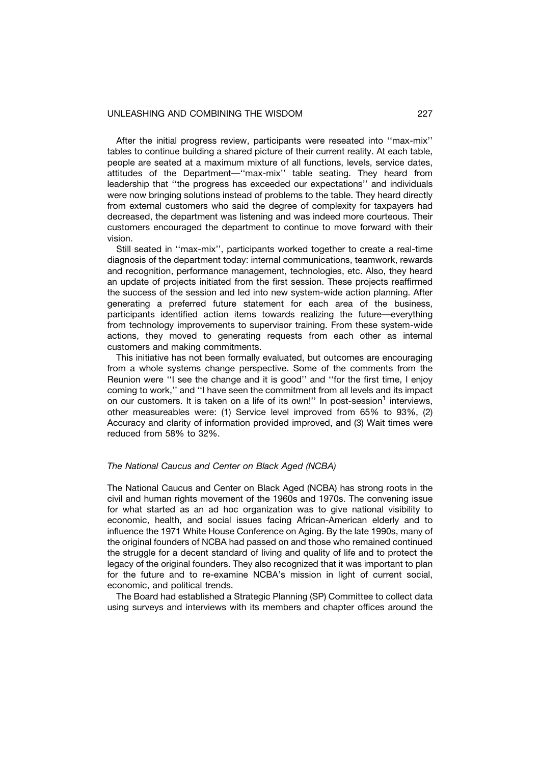# UNLEASHING AND COMBINING THE WISDOM 227

After the initial progress review, participants were reseated into ''max-mix'' tables to continue building a shared picture of their current reality. At each table, people are seated at a maximum mixture of all functions, levels, service dates, attitudes of the Department—''max-mix'' table seating. They heard from leadership that ''the progress has exceeded our expectations'' and individuals were now bringing solutions instead of problems to the table. They heard directly from external customers who said the degree of complexity for taxpayers had decreased, the department was listening and was indeed more courteous. Their customers encouraged the department to continue to move forward with their vision.

Still seated in ''max-mix'', participants worked together to create a real-time diagnosis of the department today: internal communications, teamwork, rewards and recognition, performance management, technologies, etc. Also, they heard an update of projects initiated from the first session. These projects reaffirmed the success of the session and led into new system-wide action planning. After generating a preferred future statement for each area of the business, participants identified action items towards realizing the future—everything from technology improvements to supervisor training. From these system-wide actions, they moved to generating requests from each other as internal customers and making commitments.

This initiative has not been formally evaluated, but outcomes are encouraging from a whole systems change perspective. Some of the comments from the Reunion were ''I see the change and it is good'' and ''for the first time, I enjoy coming to work,'' and ''I have seen the commitment from all levels and its impact on our customers. It is taken on a life of its own!" In post-session<sup>1</sup> interviews, other measureables were: (1) Service level improved from 65% to 93%, (2) Accuracy and clarity of information provided improved, and (3) Wait times were reduced from 58% to 32%.

# The National Caucus and Center on Black Aged (NCBA)

The National Caucus and Center on Black Aged (NCBA) has strong roots in the civil and human rights movement of the 1960s and 1970s. The convening issue for what started as an ad hoc organization was to give national visibility to economic, health, and social issues facing African-American elderly and to influence the 1971 White House Conference on Aging. By the late 1990s, many of the original founders of NCBA had passed on and those who remained continued the struggle for a decent standard of living and quality of life and to protect the legacy of the original founders. They also recognized that it was important to plan for the future and to re-examine NCBA's mission in light of current social, economic, and political trends.

The Board had established a Strategic Planning (SP) Committee to collect data using surveys and interviews with its members and chapter offices around the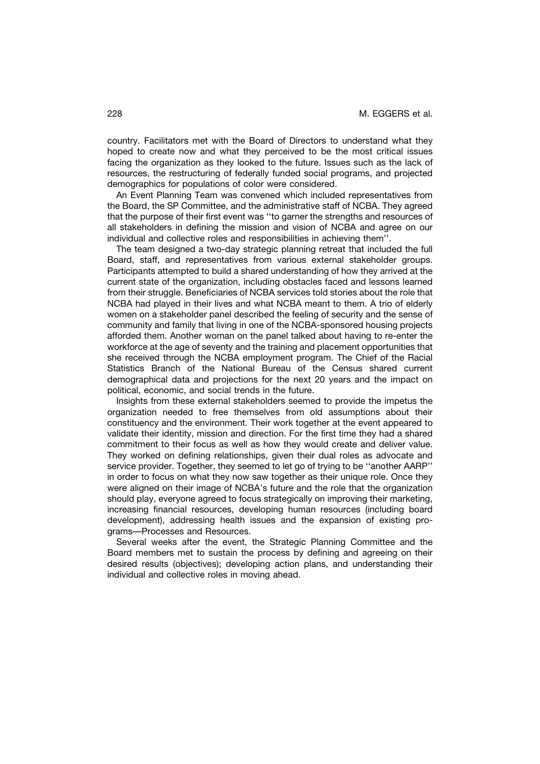country. Facilitators met with the Board of Directors to understand what they hoped to create now and what they perceived to be the most critical issues facing the organization as they looked to the future. Issues such as the lack of resources, the restructuring of federally funded social programs, and projected demographics for populations of color were considered.

An Event Planning Team was convened which included representatives from the Board, the SP Committee, and the administrative staff of NCBA. They agreed that the purpose of their first event was ''to garner the strengths and resources of all stakeholders in defining the mission and vision of NCBA and agree on our individual and collective roles and responsibilities in achieving them''.

The team designed a two-day strategic planning retreat that included the full Board, staff, and representatives from various external stakeholder groups. Participants attempted to build a shared understanding of how they arrived at the current state of the organization, including obstacles faced and lessons learned from their struggle. Beneficiaries of NCBA services told stories about the role that NCBA had played in their lives and what NCBA meant to them. A trio of elderly women on a stakeholder panel described the feeling of security and the sense of community and family that living in one of the NCBA-sponsored housing projects afforded them. Another woman on the panel talked about having to re-enter the workforce at the age of seventy and the training and placement opportunities that she received through the NCBA employment program. The Chief of the Racial Statistics Branch of the National Bureau of the Census shared current demographical data and projections for the next 20 years and the impact on political, economic, and social trends in the future.

Insights from these external stakeholders seemed to provide the impetus the organization needed to free themselves from old assumptions about their constituency and the environment. Their work together at the event appeared to validate their identity, mission and direction. For the first time they had a shared commitment to their focus as well as how they would create and deliver value. They worked on defining relationships, given their dual roles as advocate and service provider. Together, they seemed to let go of trying to be ''another AARP'' in order to focus on what they now saw together as their unique role. Once they were aligned on their image of NCBA's future and the role that the organization should play, everyone agreed to focus strategically on improving their marketing, increasing financial resources, developing human resources (including board development), addressing health issues and the expansion of existing programs—Processes and Resources.

Several weeks after the event, the Strategic Planning Committee and the Board members met to sustain the process by defining and agreeing on their desired results (objectives); developing action plans, and understanding their individual and collective roles in moving ahead.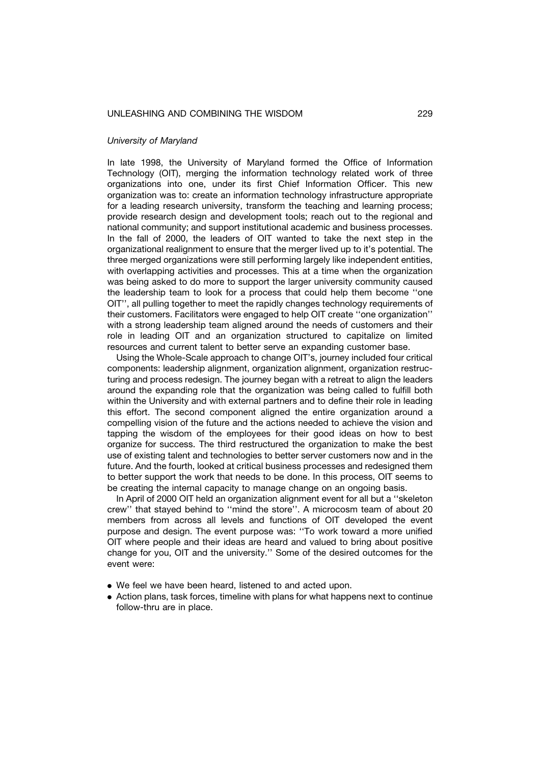# UNLEASHING AND COMBINING THE WISDOM 229

# University of Maryland

In late 1998, the University of Maryland formed the Office of Information Technology (OIT), merging the information technology related work of three organizations into one, under its first Chief Information Officer. This new organization was to: create an information technology infrastructure appropriate for a leading research university, transform the teaching and learning process; provide research design and development tools; reach out to the regional and national community; and support institutional academic and business processes. In the fall of 2000, the leaders of OIT wanted to take the next step in the organizational realignment to ensure that the merger lived up to it's potential. The three merged organizations were still performing largely like independent entities, with overlapping activities and processes. This at a time when the organization was being asked to do more to support the larger university community caused the leadership team to look for a process that could help them become ''one OIT'', all pulling together to meet the rapidly changes technology requirements of their customers. Facilitators were engaged to help OIT create ''one organization'' with a strong leadership team aligned around the needs of customers and their role in leading OIT and an organization structured to capitalize on limited resources and current talent to better serve an expanding customer base.

Using the Whole-Scale approach to change OIT's, journey included four critical components: leadership alignment, organization alignment, organization restructuring and process redesign. The journey began with a retreat to align the leaders around the expanding role that the organization was being called to fulfill both within the University and with external partners and to define their role in leading this effort. The second component aligned the entire organization around a compelling vision of the future and the actions needed to achieve the vision and tapping the wisdom of the employees for their good ideas on how to best organize for success. The third restructured the organization to make the best use of existing talent and technologies to better server customers now and in the future. And the fourth, looked at critical business processes and redesigned them to better support the work that needs to be done. In this process, OIT seems to be creating the internal capacity to manage change on an ongoing basis.

In April of 2000 OIT held an organization alignment event for all but a ''skeleton crew'' that stayed behind to ''mind the store''. A microcosm team of about 20 members from across all levels and functions of OIT developed the event purpose and design. The event purpose was: ''To work toward a more unified OIT where people and their ideas are heard and valued to bring about positive change for you, OIT and the university.'' Some of the desired outcomes for the event were:

- . We feel we have been heard, listened to and acted upon.
- . Action plans, task forces, timeline with plans for what happens next to continue follow-thru are in place.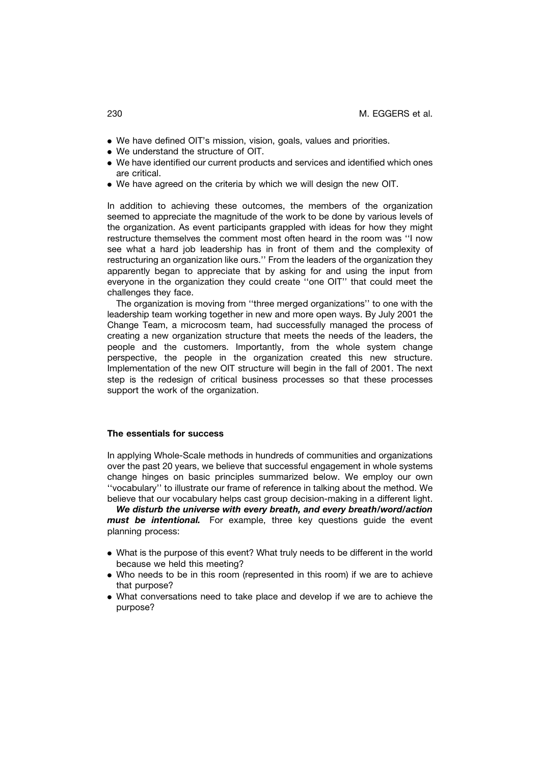- . We have defined OIT's mission, vision, goals, values and priorities.
- . We understand the structure of OIT.
- . We have identified our current products and services and identified which ones are critical.
- . We have agreed on the criteria by which we will design the new OIT.

In addition to achieving these outcomes, the members of the organization seemed to appreciate the magnitude of the work to be done by various levels of the organization. As event participants grappled with ideas for how they might restructure themselves the comment most often heard in the room was ''I now see what a hard job leadership has in front of them and the complexity of restructuring an organization like ours.'' From the leaders of the organization they apparently began to appreciate that by asking for and using the input from everyone in the organization they could create ''one OIT'' that could meet the challenges they face.

The organization is moving from ''three merged organizations'' to one with the leadership team working together in new and more open ways. By July 2001 the Change Team, a microcosm team, had successfully managed the process of creating a new organization structure that meets the needs of the leaders, the people and the customers. Importantly, from the whole system change perspective, the people in the organization created this new structure. Implementation of the new OIT structure will begin in the fall of 2001. The next step is the redesign of critical business processes so that these processes support the work of the organization.

# The essentials for success

In applying Whole-Scale methods in hundreds of communities and organizations over the past 20 years, we believe that successful engagement in whole systems change hinges on basic principles summarized below. We employ our own ''vocabulary'' to illustrate our frame of reference in talking about the method. We believe that our vocabulary helps cast group decision-making in a different light.

We disturb the universe with every breath, and every breath/word/action must be intentional. For example, three key questions guide the event planning process:

- . What is the purpose of this event? What truly needs to be different in the world because we held this meeting?
- . Who needs to be in this room (represented in this room) if we are to achieve that purpose?
- . What conversations need to take place and develop if we are to achieve the purpose?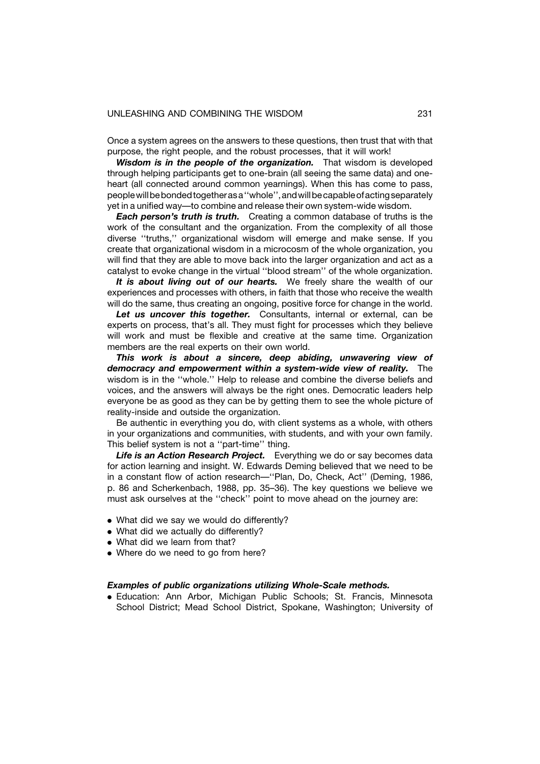Once a system agrees on the answers to these questions, then trust that with that purpose, the right people, and the robust processes, that it will work!

Wisdom is in the people of the organization. That wisdom is developed through helping participants get to one-brain (all seeing the same data) and oneheart (all connected around common yearnings). When this has come to pass, peoplewillbebondedtogetherasa''whole'',andwillbecapableofactingseparately yet in a unified way—to combine and release their own system-wide wisdom.

**Each person's truth is truth.** Creating a common database of truths is the work of the consultant and the organization. From the complexity of all those diverse ''truths,'' organizational wisdom will emerge and make sense. If you create that organizational wisdom in a microcosm of the whole organization, you will find that they are able to move back into the larger organization and act as a catalyst to evoke change in the virtual ''blood stream'' of the whole organization.

It is about living out of our hearts. We freely share the wealth of our experiences and processes with others, in faith that those who receive the wealth will do the same, thus creating an ongoing, positive force for change in the world.

Let us uncover this together. Consultants, internal or external, can be experts on process, that's all. They must fight for processes which they believe will work and must be flexible and creative at the same time. Organization members are the real experts on their own world.

This work is about a sincere, deep abiding, unwavering view of democracy and empowerment within a system-wide view of reality. The wisdom is in the ''whole.'' Help to release and combine the diverse beliefs and voices, and the answers will always be the right ones. Democratic leaders help everyone be as good as they can be by getting them to see the whole picture of reality-inside and outside the organization.

Be authentic in everything you do, with client systems as a whole, with others in your organizations and communities, with students, and with your own family. This belief system is not a ''part-time'' thing.

Life is an Action Research Project. Everything we do or say becomes data for action learning and insight. W. Edwards Deming believed that we need to be in a constant flow of action research—''Plan, Do, Check, Act'' (Deming, 1986, p. 86 and Scherkenbach, 1988, pp. 35–36). The key questions we believe we must ask ourselves at the ''check'' point to move ahead on the journey are:

- . What did we say we would do differently?
- . What did we actually do differently?
- . What did we learn from that?
- Where do we need to go from here?

# Examples of public organizations utilizing Whole-Scale methods.

. Education: Ann Arbor, Michigan Public Schools; St. Francis, Minnesota School District; Mead School District, Spokane, Washington; University of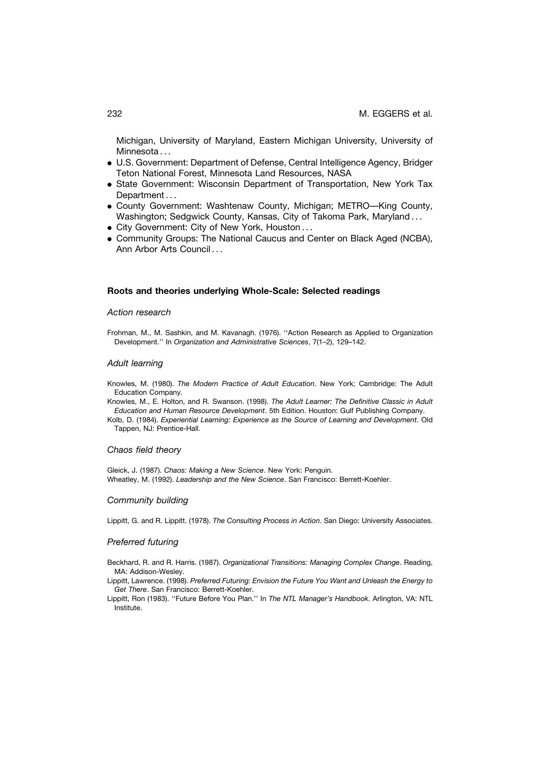Michigan, University of Maryland, Eastern Michigan University, University of Minnesota...

- . U.S. Government: Department of Defense, Central Intelligence Agency, Bridger Teton National Forest, Minnesota Land Resources, NASA
- . State Government: Wisconsin Department of Transportation, New York Tax Department ...
- . County Government: Washtenaw County, Michigan; METRO—King County, Washington; Sedgwick County, Kansas, City of Takoma Park, Maryland . . .
- . City Government: City of New York, Houston . . .
- . Community Groups: The National Caucus and Center on Black Aged (NCBA), Ann Arbor Arts Council . . .

### Roots and theories underlying Whole-Scale: Selected readings

### Action research

Frohman, M., M. Sashkin, and M. Kavanagh. (1976). ''Action Research as Applied to Organization Development.'' In Organization and Administrative Sciences, 7(1–2), 129–142.

### Adult learning

- Knowles, M. (1980). The Modern Practice of Adult Education. New York; Cambridge: The Adult Education Company.
- Knowles, M., E. Holton, and R. Swanson. (1998). The Adult Learner: The Definitive Classic in Adult Education and Human Resource Development. 5th Edition. Houston: Gulf Publishing Company.

Kolb, D. (1984). Experiential Learning: Experience as the Source of Learning and Development. Old Tappen, NJ: Prentice-Hall.

### Chaos field theory

Gleick, J. (1987). Chaos: Making a New Science. New York: Penguin. Wheatley, M. (1992). Leadership and the New Science. San Francisco: Berrett-Koehler.

### Community building

Lippitt, G. and R. Lippitt. (1978). The Consulting Process in Action. San Diego: University Associates.

### Preferred futuring

- Beckhard, R. and R. Harris. (1987). Organizational Transitions: Managing Complex Change. Reading, MA: Addison-Wesley.
- Lippitt, Lawrence. (1998). Preferred Futuring: Envision the Future You Want and Unleash the Energy to Get There. San Francisco: Berrett-Koehler.
- Lippitt, Ron (1983). ''Future Before You Plan.'' In The NTL Manager's Handbook. Arlington, VA: NTL Institute.